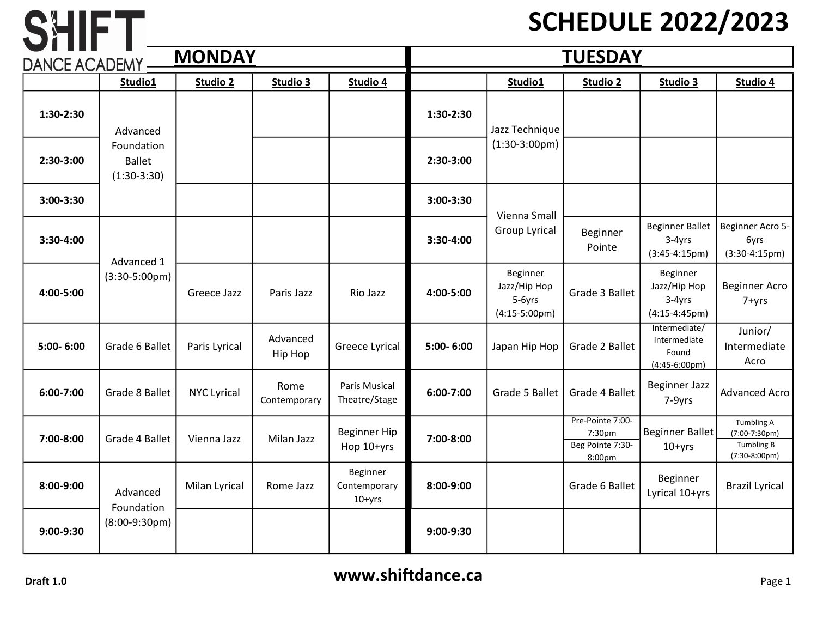## SCHEDULE 2022/2023

| <b>MONDAY</b><br><b>DANCE ACADEMY</b> |                                                          |                    |                      | <b>TUESDAY</b>                       |           |                                                               |                                                          |                                                           |                                                                          |
|---------------------------------------|----------------------------------------------------------|--------------------|----------------------|--------------------------------------|-----------|---------------------------------------------------------------|----------------------------------------------------------|-----------------------------------------------------------|--------------------------------------------------------------------------|
|                                       | Studio1                                                  | Studio 2           | Studio <sub>3</sub>  | Studio 4                             |           | Studio1                                                       | Studio 2                                                 | Studio 3                                                  | Studio 4                                                                 |
| 1:30-2:30                             | Advanced<br>Foundation<br><b>Ballet</b><br>$(1:30-3:30)$ |                    |                      |                                      | 1:30-2:30 | Jazz Technique<br>$(1:30-3:00pm)$                             |                                                          |                                                           |                                                                          |
| 2:30-3:00                             |                                                          |                    |                      |                                      | 2:30-3:00 |                                                               |                                                          |                                                           |                                                                          |
| 3:00-3:30                             |                                                          |                    |                      |                                      | 3:00-3:30 | Vienna Small<br>Group Lyrical                                 |                                                          |                                                           |                                                                          |
| 3:30-4:00                             | Advanced 1<br>$(3:30-5:00pm)$                            |                    |                      |                                      | 3:30-4:00 |                                                               | Beginner<br>Pointe                                       | <b>Beginner Ballet</b><br>3-4yrs<br>$(3:45-4:15pm)$       | Beginner Acro 5-<br>6yrs<br>$(3:30-4:15pm)$                              |
| 4:00-5:00                             |                                                          | Greece Jazz        | Paris Jazz           | Rio Jazz                             | 4:00-5:00 | Beginner<br>Jazz/Hip Hop<br>5-6yrs<br>$(4:15-5:00 \text{pm})$ | Grade 3 Ballet                                           | Beginner<br>Jazz/Hip Hop<br>$3-4yrs$<br>$(4:15-4:45pm)$   | <b>Beginner Acro</b><br>7+yrs                                            |
| 5:00-6:00                             | Grade 6 Ballet                                           | Paris Lyrical      | Advanced<br>Hip Hop  | <b>Greece Lyrical</b>                | 5:00-6:00 | Japan Hip Hop                                                 | Grade 2 Ballet                                           | Intermediate/<br>Intermediate<br>Found<br>$(4:45-6:00pm)$ | Junior/<br>Intermediate<br>Acro                                          |
| 6:00-7:00                             | Grade 8 Ballet                                           | <b>NYC Lyrical</b> | Rome<br>Contemporary | Paris Musical<br>Theatre/Stage       | 6:00-7:00 | Grade 5 Ballet                                                | Grade 4 Ballet                                           | <b>Beginner Jazz</b><br>7-9yrs                            | <b>Advanced Acro</b>                                                     |
| 7:00-8:00                             | Grade 4 Ballet                                           | Vienna Jazz        | Milan Jazz           | <b>Beginner Hip</b><br>Hop 10+yrs    | 7:00-8:00 |                                                               | Pre-Pointe 7:00-<br>7:30pm<br>Beg Pointe 7:30-<br>8:00pm | <b>Beginner Ballet</b><br>$10+yrs$                        | <b>Tumbling A</b><br>(7:00-7:30pm)<br><b>Tumbling B</b><br>(7:30-8:00pm) |
| 8:00-9:00                             | Advanced<br>Foundation                                   | Milan Lyrical      | Rome Jazz            | Beginner<br>Contemporary<br>$10+yrs$ | 8:00-9:00 |                                                               | Grade 6 Ballet                                           | Beginner<br>Lyrical 10+yrs                                | <b>Brazil Lyrical</b>                                                    |
| 9:00-9:30                             | $(8:00-9:30pm)$                                          |                    |                      |                                      | 9:00-9:30 |                                                               |                                                          |                                                           |                                                                          |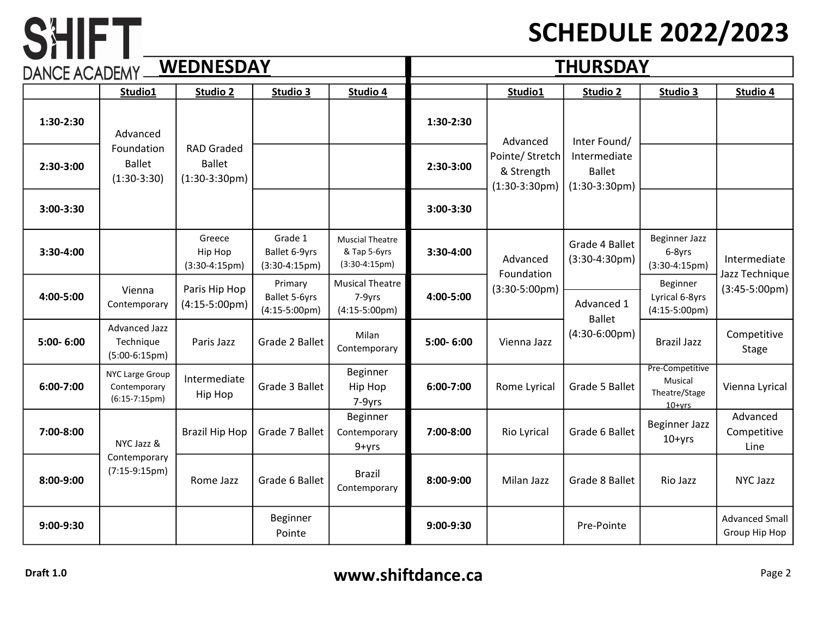### SCHEDULE 2022/2023

| <b>WEDNESDAY</b><br>DANCE ACADEMY |                                                      |                                                              |                                                     | <b>THURSDAY</b>                                           |                |                                                  |                                                  |                                                         |                                        |
|-----------------------------------|------------------------------------------------------|--------------------------------------------------------------|-----------------------------------------------------|-----------------------------------------------------------|----------------|--------------------------------------------------|--------------------------------------------------|---------------------------------------------------------|----------------------------------------|
|                                   | Studio1                                              | Studio 2                                                     | Studio 3                                            | Studio 4                                                  |                | Studio1                                          | Studio 2                                         | Studio 3                                                | Studio 4                               |
| 1:30-2:30                         | Advanced                                             |                                                              |                                                     |                                                           | 1:30-2:30      | Advanced                                         | Inter Found/                                     |                                                         |                                        |
| 2:30-3:00                         | Foundation<br><b>Ballet</b><br>$(1:30-3:30)$         | <b>RAD Graded</b><br><b>Ballet</b><br>$(1:30-3:30pm)$        |                                                     |                                                           | 2:30-3:00      | Pointe/ Stretch<br>& Strength<br>$(1:30-3:30pm)$ | Intermediate<br><b>Ballet</b><br>$(1:30-3:30pm)$ |                                                         |                                        |
| 3:00-3:30                         |                                                      |                                                              |                                                     |                                                           | 3:00-3:30      |                                                  |                                                  |                                                         |                                        |
| 3:30-4:00                         |                                                      | Greece<br>Hip Hop<br>$(3:30-4:15pm)$                         | Grade 1<br>Ballet 6-9yrs<br>$(3:30-4:15pm)$         | <b>Muscial Theatre</b><br>& Tap 5-6yrs<br>$(3:30-4:15pm)$ | 3:30-4:00      | Advanced<br>Foundation                           | Grade 4 Ballet<br>$(3:30-4:30pm)$                | <b>Beginner Jazz</b><br>6-8yrs<br>$(3:30-4:15pm)$       | Intermediate<br>Jazz Technique         |
| 4:00-5:00                         | Vienna<br>Contemporary                               | Paris Hip Hop<br>$(4:15-5:00 \text{pm})$                     | Primary<br>Ballet 5-6yrs<br>$(4:15-5:00 \text{pm})$ | <b>Musical Theatre</b><br>7-9yrs<br>$(4:15-5:00pm)$       | 4:00-5:00      | $(3:30-5:00pm)$                                  | Advanced 1<br><b>Ballet</b>                      | Beginner<br>Lyrical 6-8yrs<br>$(4:15-5:00pm)$           | $(3:45-5:00pm)$                        |
| 5:00-6:00                         | <b>Advanced Jazz</b><br>Technique<br>$(5:00-6:15pm)$ | Paris Jazz                                                   | Grade 2 Ballet                                      | Milan<br>Contemporary                                     | 5:00-6:00      | Vienna Jazz                                      | $(4:30-6:00 \text{pm})$                          | <b>Brazil Jazz</b>                                      | Competitive<br><b>Stage</b>            |
| 6:00-7:00                         | NYC Large Group<br>Contemporary<br>$(6:15-7:15pm)$   | Intermediate<br>Hip Hop                                      | Grade 3 Ballet                                      | Beginner<br>Hip Hop<br>7-9yrs                             | 6:00-7:00      | Rome Lyrical                                     | Grade 5 Ballet                                   | Pre-Competitive<br>Musical<br>Theatre/Stage<br>$10+vrs$ | Vienna Lyrical                         |
| 7:00-8:00                         | NYC Jazz &                                           | <b>Brazil Hip Hop</b>                                        | Grade 7 Ballet                                      | Beginner<br>Contemporary<br>9+yrs                         | 7:00-8:00      | Rio Lyrical                                      | Grade 6 Ballet                                   | <b>Beginner Jazz</b><br>$10+yrs$                        | Advanced<br>Competitive<br>Line        |
| 8:00-9:00                         | Contemporary<br>$(7:15-9:15pm)$                      | <b>Brazil</b><br>Rome Jazz<br>Grade 6 Ballet<br>Contemporary | 8:00-9:00                                           | Milan Jazz                                                | Grade 8 Ballet | Rio Jazz                                         | <b>NYC Jazz</b>                                  |                                                         |                                        |
| 9:00-9:30                         |                                                      |                                                              | Beginner<br>Pointe                                  |                                                           | 9:00-9:30      |                                                  | Pre-Pointe                                       |                                                         | <b>Advanced Small</b><br>Group Hip Hop |